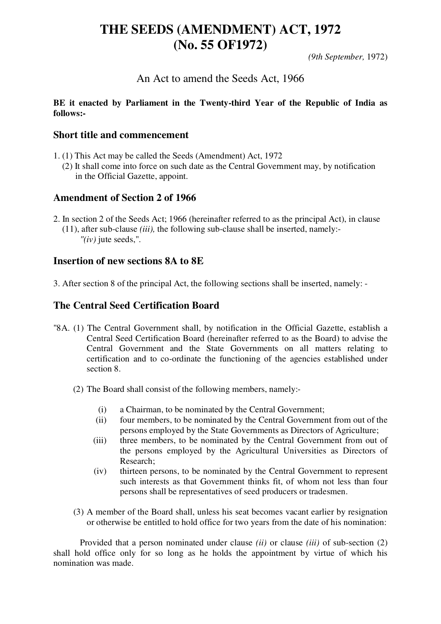# **THE SEEDS (AMENDMENT) ACT, 1972 (No. 55 OF1972)**

*(9th September,* 1972)

# An Act to amend the Seeds Act, 1966

#### **BE it enacted by Parliament in the Twenty-third Year of the Republic of India as follows:-**

#### **Short title and commencement**

1. (1) This Act may be called the Seeds (Amendment) Act, 1972 (2) It shall come into force on such date as the Central Government may, by notification in the Official Gazette, appoint.

# **Amendment of Section 2 of 1966**

2. In section 2 of the Seeds Act; 1966 (hereinafter referred to as the principal Act), in clause (11), after sub-clause *(iii),* the following sub-clause shall be inserted, namely:-  *"(iv)* jute seeds,".

#### **Insertion of new sections 8A to 8E**

3. After section 8 of the principal Act, the following sections shall be inserted, namely: -

# **The Central Seed Certification Board**

- "8A. (1) The Central Government shall, by notification in the Official Gazette, establish a Central Seed Certification Board (hereinafter referred to as the Board) to advise the Central Government and the State Governments on all matters relating to certification and to co-ordinate the functioning of the agencies established under section 8.
	- (2) The Board shall consist of the following members, namely:-
		- (i) a Chairman, to be nominated by the Central Government;
		- (ii) four members, to be nominated by the Central Government from out of the persons employed by the State Governments as Directors of Agriculture;
		- (iii) three members, to be nominated by the Central Government from out of the persons employed by the Agricultural Universities as Directors of Research;
		- (iv) thirteen persons, to be nominated by the Central Government to represent such interests as that Government thinks fit, of whom not less than four persons shall be representatives of seed producers or tradesmen.
	- (3) A member of the Board shall, unless his seat becomes vacant earlier by resignation or otherwise be entitled to hold office for two years from the date of his nomination:

 Provided that a person nominated under clause *(ii)* or clause *(iii)* of sub-section (2) shall hold office only for so long as he holds the appointment by virtue of which his nomination was made.